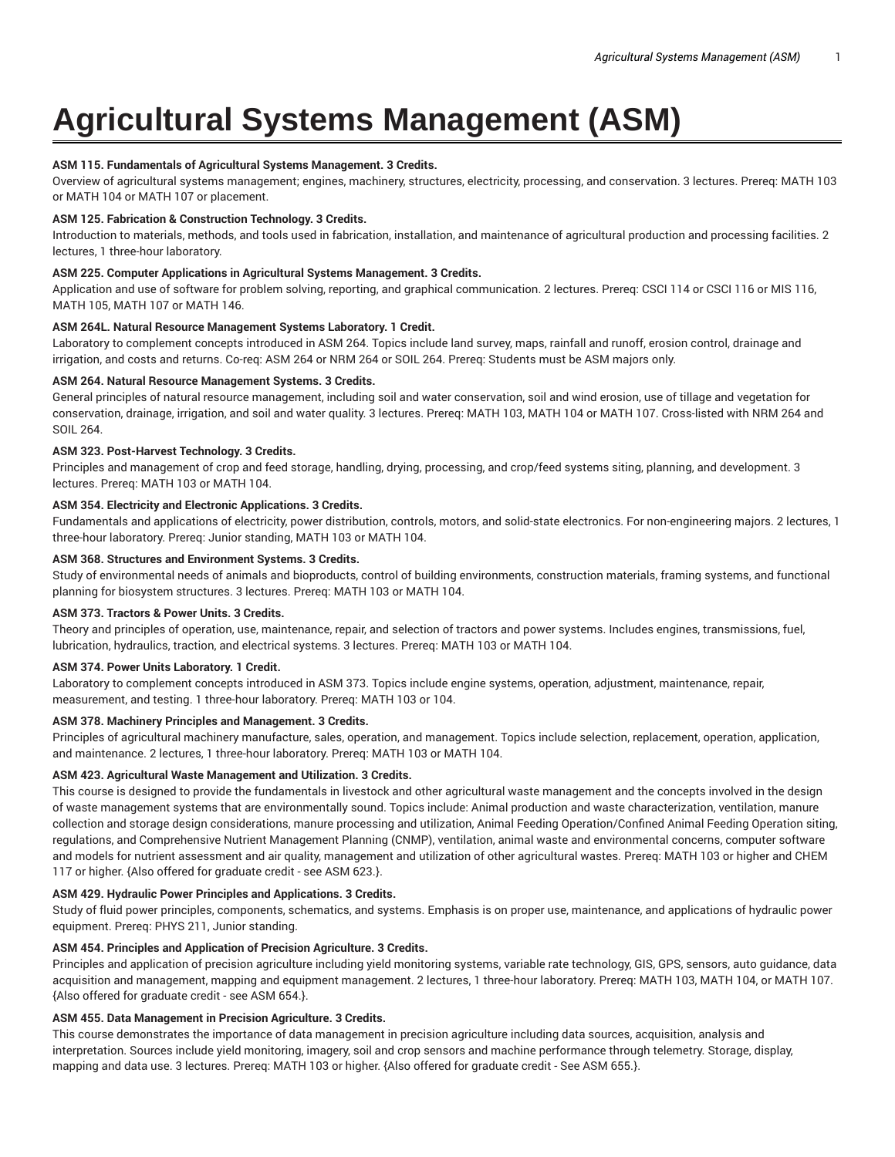# **Agricultural Systems Management (ASM)**

# **ASM 115. Fundamentals of Agricultural Systems Management. 3 Credits.**

Overview of agricultural systems management; engines, machinery, structures, electricity, processing, and conservation. 3 lectures. Prereq: MATH 103 or MATH 104 or MATH 107 or placement.

#### **ASM 125. Fabrication & Construction Technology. 3 Credits.**

Introduction to materials, methods, and tools used in fabrication, installation, and maintenance of agricultural production and processing facilities. 2 lectures, 1 three-hour laboratory.

#### **ASM 225. Computer Applications in Agricultural Systems Management. 3 Credits.**

Application and use of software for problem solving, reporting, and graphical communication. 2 lectures. Prereq: CSCI 114 or CSCI 116 or MIS 116, MATH 105, MATH 107 or MATH 146.

#### **ASM 264L. Natural Resource Management Systems Laboratory. 1 Credit.**

Laboratory to complement concepts introduced in ASM 264. Topics include land survey, maps, rainfall and runoff, erosion control, drainage and irrigation, and costs and returns. Co-req: ASM 264 or NRM 264 or SOIL 264. Prereq: Students must be ASM majors only.

# **ASM 264. Natural Resource Management Systems. 3 Credits.**

General principles of natural resource management, including soil and water conservation, soil and wind erosion, use of tillage and vegetation for conservation, drainage, irrigation, and soil and water quality. 3 lectures. Prereq: MATH 103, MATH 104 or MATH 107. Cross-listed with NRM 264 and SOIL 264.

# **ASM 323. Post-Harvest Technology. 3 Credits.**

Principles and management of crop and feed storage, handling, drying, processing, and crop/feed systems siting, planning, and development. 3 lectures. Prereq: MATH 103 or MATH 104.

# **ASM 354. Electricity and Electronic Applications. 3 Credits.**

Fundamentals and applications of electricity, power distribution, controls, motors, and solid-state electronics. For non-engineering majors. 2 lectures, 1 three-hour laboratory. Prereq: Junior standing, MATH 103 or MATH 104.

# **ASM 368. Structures and Environment Systems. 3 Credits.**

Study of environmental needs of animals and bioproducts, control of building environments, construction materials, framing systems, and functional planning for biosystem structures. 3 lectures. Prereq: MATH 103 or MATH 104.

#### **ASM 373. Tractors & Power Units. 3 Credits.**

Theory and principles of operation, use, maintenance, repair, and selection of tractors and power systems. Includes engines, transmissions, fuel, lubrication, hydraulics, traction, and electrical systems. 3 lectures. Prereq: MATH 103 or MATH 104.

#### **ASM 374. Power Units Laboratory. 1 Credit.**

Laboratory to complement concepts introduced in ASM 373. Topics include engine systems, operation, adjustment, maintenance, repair, measurement, and testing. 1 three-hour laboratory. Prereq: MATH 103 or 104.

# **ASM 378. Machinery Principles and Management. 3 Credits.**

Principles of agricultural machinery manufacture, sales, operation, and management. Topics include selection, replacement, operation, application, and maintenance. 2 lectures, 1 three-hour laboratory. Prereq: MATH 103 or MATH 104.

#### **ASM 423. Agricultural Waste Management and Utilization. 3 Credits.**

This course is designed to provide the fundamentals in livestock and other agricultural waste management and the concepts involved in the design of waste management systems that are environmentally sound. Topics include: Animal production and waste characterization, ventilation, manure collection and storage design considerations, manure processing and utilization, Animal Feeding Operation/Confined Animal Feeding Operation siting, regulations, and Comprehensive Nutrient Management Planning (CNMP), ventilation, animal waste and environmental concerns, computer software and models for nutrient assessment and air quality, management and utilization of other agricultural wastes. Prereq: MATH 103 or higher and CHEM 117 or higher. {Also offered for graduate credit - see ASM 623.}.

#### **ASM 429. Hydraulic Power Principles and Applications. 3 Credits.**

Study of fluid power principles, components, schematics, and systems. Emphasis is on proper use, maintenance, and applications of hydraulic power equipment. Prereq: PHYS 211, Junior standing.

#### **ASM 454. Principles and Application of Precision Agriculture. 3 Credits.**

Principles and application of precision agriculture including yield monitoring systems, variable rate technology, GIS, GPS, sensors, auto guidance, data acquisition and management, mapping and equipment management. 2 lectures, 1 three-hour laboratory. Prereq: MATH 103, MATH 104, or MATH 107. {Also offered for graduate credit - see ASM 654.}.

# **ASM 455. Data Management in Precision Agriculture. 3 Credits.**

This course demonstrates the importance of data management in precision agriculture including data sources, acquisition, analysis and interpretation. Sources include yield monitoring, imagery, soil and crop sensors and machine performance through telemetry. Storage, display, mapping and data use. 3 lectures. Prereq: MATH 103 or higher. {Also offered for graduate credit - See ASM 655.}.